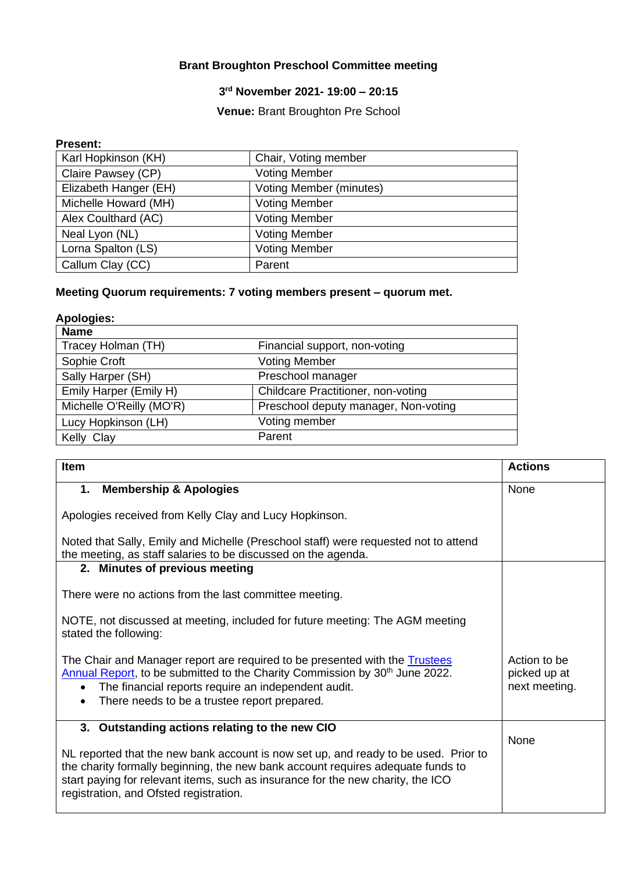# **Brant Broughton Preschool Committee meeting**

### **3 rd November 2021- 19:00 – 20:15**

## **Venue:** Brant Broughton Pre School

#### **Present:**

| Karl Hopkinson (KH)   | Chair, Voting member           |
|-----------------------|--------------------------------|
| Claire Pawsey (CP)    | <b>Voting Member</b>           |
| Elizabeth Hanger (EH) | <b>Voting Member (minutes)</b> |
| Michelle Howard (MH)  | <b>Voting Member</b>           |
| Alex Coulthard (AC)   | <b>Voting Member</b>           |
| Neal Lyon (NL)        | <b>Voting Member</b>           |
| Lorna Spalton (LS)    | <b>Voting Member</b>           |
| Callum Clay (CC)      | Parent                         |

# **Meeting Quorum requirements: 7 voting members present – quorum met.**

| <b>Apologies:</b>        |                                           |
|--------------------------|-------------------------------------------|
| <b>Name</b>              |                                           |
| Tracey Holman (TH)       | Financial support, non-voting             |
| Sophie Croft             | <b>Voting Member</b>                      |
| Sally Harper (SH)        | Preschool manager                         |
| Emily Harper (Emily H)   | <b>Childcare Practitioner, non-voting</b> |
| Michelle O'Reilly (MO'R) | Preschool deputy manager, Non-voting      |
| Lucy Hopkinson (LH)      | Voting member                             |
| Kelly Clay               | Parent                                    |

| <b>Item</b>                                                                                                                                                                                                                                                                                         | <b>Actions</b>                                |
|-----------------------------------------------------------------------------------------------------------------------------------------------------------------------------------------------------------------------------------------------------------------------------------------------------|-----------------------------------------------|
| <b>Membership &amp; Apologies</b><br>1.                                                                                                                                                                                                                                                             | None                                          |
| Apologies received from Kelly Clay and Lucy Hopkinson.                                                                                                                                                                                                                                              |                                               |
| Noted that Sally, Emily and Michelle (Preschool staff) were requested not to attend<br>the meeting, as staff salaries to be discussed on the agenda.                                                                                                                                                |                                               |
| 2. Minutes of previous meeting                                                                                                                                                                                                                                                                      |                                               |
| There were no actions from the last committee meeting.                                                                                                                                                                                                                                              |                                               |
| NOTE, not discussed at meeting, included for future meeting: The AGM meeting<br>stated the following:                                                                                                                                                                                               |                                               |
| The Chair and Manager report are required to be presented with the <b>Trustees</b><br>Annual Report, to be submitted to the Charity Commission by 30 <sup>th</sup> June 2022.<br>The financial reports require an independent audit.<br>$\bullet$<br>There needs to be a trustee report prepared.   | Action to be<br>picked up at<br>next meeting. |
| 3. Outstanding actions relating to the new CIO                                                                                                                                                                                                                                                      | None                                          |
| NL reported that the new bank account is now set up, and ready to be used. Prior to<br>the charity formally beginning, the new bank account requires adequate funds to<br>start paying for relevant items, such as insurance for the new charity, the ICO<br>registration, and Ofsted registration. |                                               |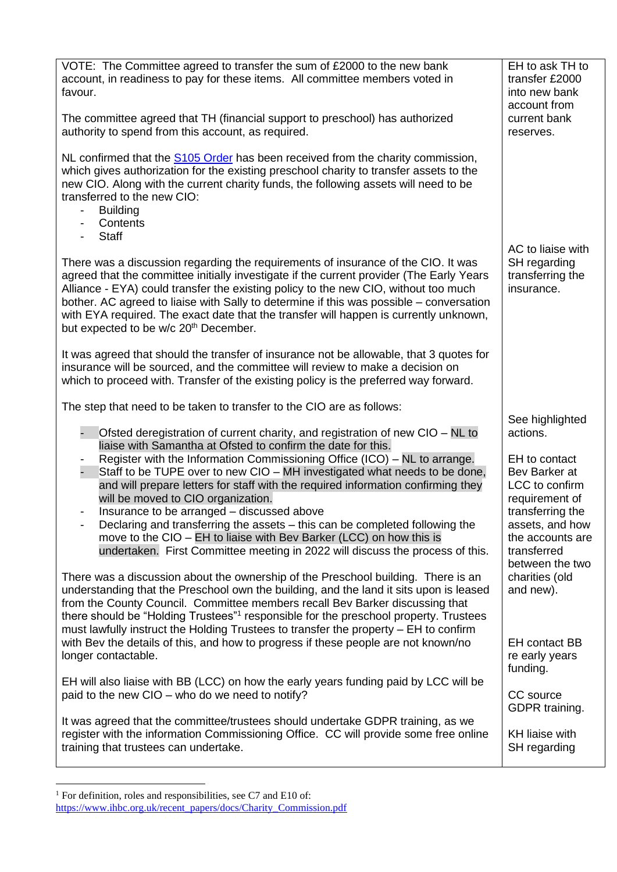| VOTE: The Committee agreed to transfer the sum of £2000 to the new bank<br>account, in readiness to pay for these items. All committee members voted in<br>favour.                                                                                                                                                                                                                                                                                                                                            | EH to ask TH to<br>transfer £2000<br>into new bank<br>account from                        |
|---------------------------------------------------------------------------------------------------------------------------------------------------------------------------------------------------------------------------------------------------------------------------------------------------------------------------------------------------------------------------------------------------------------------------------------------------------------------------------------------------------------|-------------------------------------------------------------------------------------------|
| The committee agreed that TH (financial support to preschool) has authorized<br>authority to spend from this account, as required.                                                                                                                                                                                                                                                                                                                                                                            | current bank<br>reserves.                                                                 |
| NL confirmed that the S105 Order has been received from the charity commission,<br>which gives authorization for the existing preschool charity to transfer assets to the<br>new CIO. Along with the current charity funds, the following assets will need to be<br>transferred to the new CIO:<br><b>Building</b><br>$\qquad \qquad \blacksquare$<br>Contents<br>$\overline{\phantom{a}}$<br><b>Staff</b><br>$\overline{\phantom{a}}$                                                                        |                                                                                           |
| There was a discussion regarding the requirements of insurance of the CIO. It was<br>agreed that the committee initially investigate if the current provider (The Early Years<br>Alliance - EYA) could transfer the existing policy to the new CIO, without too much<br>bother. AC agreed to liaise with Sally to determine if this was possible – conversation<br>with EYA required. The exact date that the transfer will happen is currently unknown,<br>but expected to be w/c 20 <sup>th</sup> December. | AC to liaise with<br>SH regarding<br>transferring the<br>insurance.                       |
| It was agreed that should the transfer of insurance not be allowable, that 3 quotes for<br>insurance will be sourced, and the committee will review to make a decision on<br>which to proceed with. Transfer of the existing policy is the preferred way forward.                                                                                                                                                                                                                                             |                                                                                           |
| The step that need to be taken to transfer to the CIO are as follows:                                                                                                                                                                                                                                                                                                                                                                                                                                         |                                                                                           |
| Ofsted deregistration of current charity, and registration of new CIO - NL to<br>liaise with Samantha at Ofsted to confirm the date for this.                                                                                                                                                                                                                                                                                                                                                                 | See highlighted<br>actions.                                                               |
| Register with the Information Commissioning Office (ICO) – NL to arrange.<br>Staff to be TUPE over to new CIO - MH investigated what needs to be done,<br>and will prepare letters for staff with the required information confirming they<br>will be moved to CIO organization.                                                                                                                                                                                                                              | EH to contact<br>Bev Barker at<br>LCC to confirm<br>requirement of                        |
| Insurance to be arranged – discussed above<br>Declaring and transferring the assets – this can be completed following the<br>move to the CIO – EH to liaise with Bev Barker (LCC) on how this is<br>undertaken. First Committee meeting in 2022 will discuss the process of this.                                                                                                                                                                                                                             | transferring the<br>assets, and how<br>the accounts are<br>transferred<br>between the two |
| There was a discussion about the ownership of the Preschool building. There is an<br>understanding that the Preschool own the building, and the land it sits upon is leased<br>from the County Council. Committee members recall Bev Barker discussing that<br>there should be "Holding Trustees" <sup>1</sup> responsible for the preschool property. Trustees<br>must lawfully instruct the Holding Trustees to transfer the property - EH to confirm                                                       | charities (old<br>and new).                                                               |
| with Bev the details of this, and how to progress if these people are not known/no<br>longer contactable.                                                                                                                                                                                                                                                                                                                                                                                                     | <b>EH</b> contact BB<br>re early years<br>funding.                                        |
| EH will also liaise with BB (LCC) on how the early years funding paid by LCC will be<br>paid to the new CIO – who do we need to notify?                                                                                                                                                                                                                                                                                                                                                                       | CC source<br>GDPR training.                                                               |
| It was agreed that the committee/trustees should undertake GDPR training, as we<br>register with the information Commissioning Office. CC will provide some free online<br>training that trustees can undertake.                                                                                                                                                                                                                                                                                              | KH liaise with<br>SH regarding                                                            |

 $1$  For definition, roles and responsibilities, see C7 and E10 of:

[https://www.ihbc.org.uk/recent\\_papers/docs/Charity\\_Commission.pdf](https://www.ihbc.org.uk/recent_papers/docs/Charity_Commission.pdf)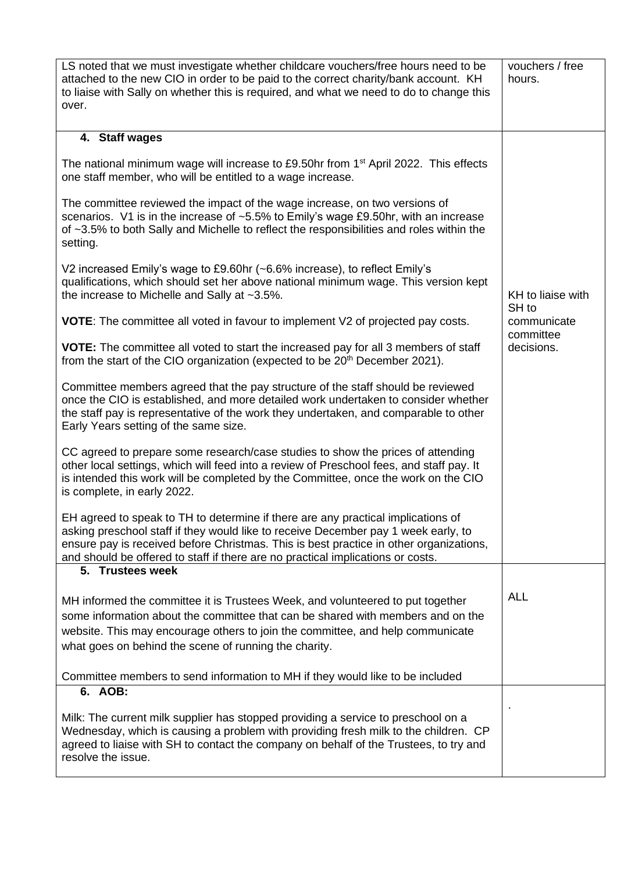| LS noted that we must investigate whether childcare vouchers/free hours need to be<br>attached to the new CIO in order to be paid to the correct charity/bank account. KH<br>to liaise with Sally on whether this is required, and what we need to do to change this<br>over.                                                                       | vouchers / free<br>hours.                                            |
|-----------------------------------------------------------------------------------------------------------------------------------------------------------------------------------------------------------------------------------------------------------------------------------------------------------------------------------------------------|----------------------------------------------------------------------|
| 4. Staff wages                                                                                                                                                                                                                                                                                                                                      |                                                                      |
| The national minimum wage will increase to £9.50hr from 1 <sup>st</sup> April 2022. This effects<br>one staff member, who will be entitled to a wage increase.                                                                                                                                                                                      |                                                                      |
| The committee reviewed the impact of the wage increase, on two versions of<br>scenarios. V1 is in the increase of ~5.5% to Emily's wage £9.50hr, with an increase<br>of ~3.5% to both Sally and Michelle to reflect the responsibilities and roles within the<br>setting.                                                                           |                                                                      |
| V2 increased Emily's wage to £9.60hr (~6.6% increase), to reflect Emily's<br>qualifications, which should set her above national minimum wage. This version kept<br>the increase to Michelle and Sally at ~3.5%.                                                                                                                                    | KH to liaise with<br>SH to<br>communicate<br>committee<br>decisions. |
| <b>VOTE:</b> The committee all voted in favour to implement V2 of projected pay costs.                                                                                                                                                                                                                                                              |                                                                      |
| <b>VOTE:</b> The committee all voted to start the increased pay for all 3 members of staff<br>from the start of the CIO organization (expected to be 20 <sup>th</sup> December 2021).                                                                                                                                                               |                                                                      |
| Committee members agreed that the pay structure of the staff should be reviewed<br>once the CIO is established, and more detailed work undertaken to consider whether<br>the staff pay is representative of the work they undertaken, and comparable to other<br>Early Years setting of the same size.                                              |                                                                      |
| CC agreed to prepare some research/case studies to show the prices of attending<br>other local settings, which will feed into a review of Preschool fees, and staff pay. It<br>is intended this work will be completed by the Committee, once the work on the CIO<br>is complete, in early 2022.                                                    |                                                                      |
| EH agreed to speak to TH to determine if there are any practical implications of<br>asking preschool staff if they would like to receive December pay 1 week early, to<br>ensure pay is received before Christmas. This is best practice in other organizations,<br>and should be offered to staff if there are no practical implications or costs. |                                                                      |
| 5. Trustees week                                                                                                                                                                                                                                                                                                                                    |                                                                      |
| MH informed the committee it is Trustees Week, and volunteered to put together<br>some information about the committee that can be shared with members and on the<br>website. This may encourage others to join the committee, and help communicate<br>what goes on behind the scene of running the charity.                                        | <b>ALL</b>                                                           |
| Committee members to send information to MH if they would like to be included                                                                                                                                                                                                                                                                       |                                                                      |
| 6. AOB:                                                                                                                                                                                                                                                                                                                                             |                                                                      |
| Milk: The current milk supplier has stopped providing a service to preschool on a<br>Wednesday, which is causing a problem with providing fresh milk to the children. CP<br>agreed to liaise with SH to contact the company on behalf of the Trustees, to try and<br>resolve the issue.                                                             |                                                                      |